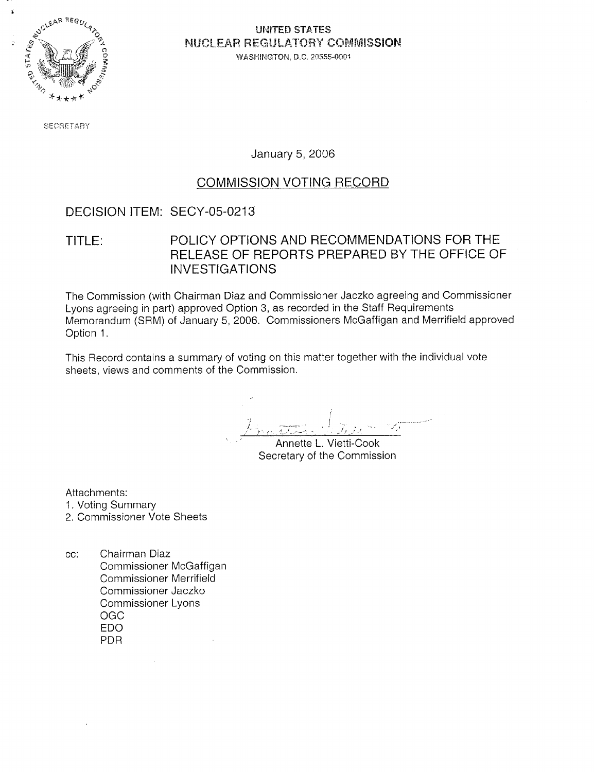

### UNITED STATES NUCLEAR REGULATORY COMMISSION WASHINGTON, D.C. 20555-0001

SECRETARY

January 5, 2006

### COMMISSION VOTING RECORD

## DECISION ITEM: SECY-05-0213

TITLE: POLICY OPTIONS AND RECOMMENDATIONS FOR THE RELEASE OF REPORTS PREPARED BY THE OFFICE OF INVESTIGATIONS

The Commission (with Chairman Diaz and Commissioner Jaczko agreeing and Commissioner Lyons agreeing in part) approved Option 3, as recorded in the Staff Requirements Memorandum (SRM) of January 5, 2006. Commissioners McGaffigan and Merrifield approved Option 1.

This Record contains a summary of voting on this matter together with the individual vote sheets, views and comments of the Commission.

i- i *i seleccioni di la strattura di la strattura di la strattura di la strattura di la strattura di la strat* 

Annette L. Vietti-Cook Secretary of the Commission

Attachments:

- 1. Voting Summary
- 2. Commissioner Vote Sheets
- cc: Chairman Diaz Commissioner McGaffigan Commissioner Merrifield Commissioner Jaczko Commissioner Lyons OGC EDO PDR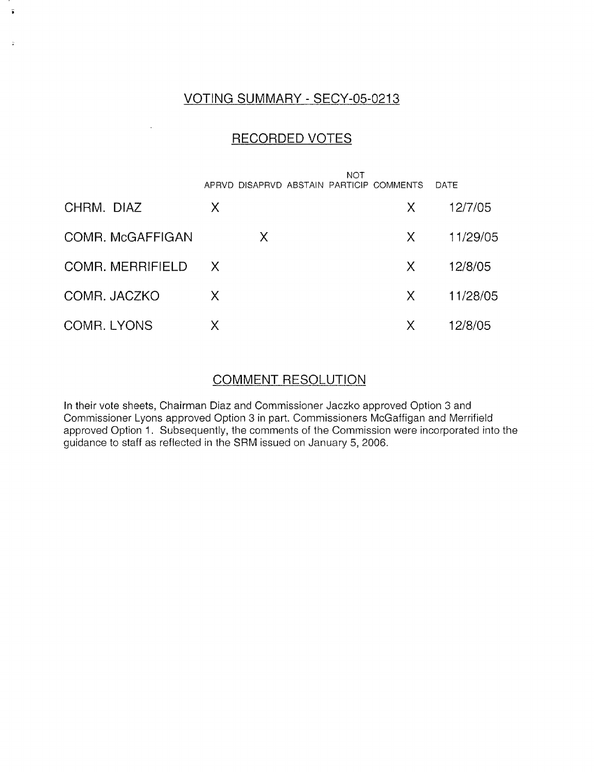### VOTING SUMMARY - SECY-05-0213

ä

### RECORDED VOTES

|                         |          | NOT<br>APRVD DISAPRVD ABSTAIN PARTICIP COMMENTS |    | DATE     |
|-------------------------|----------|-------------------------------------------------|----|----------|
| CHRM. DIAZ              | Χ        |                                                 | X. | 12/7/05  |
| COMR. McGAFFIGAN        | X        |                                                 | X. | 11/29/05 |
| <b>COMR. MERRIFIELD</b> | $\times$ |                                                 | X. | 12/8/05  |
| COMR. JACZKO            | X        |                                                 | X. | 11/28/05 |
| COMR. LYONS             | Χ        |                                                 | Χ  | 12/8/05  |

### COMMENT RESOLUTION

In their vote sheets, Chairman Diaz and Commissioner Jaczko approved Option 3 and Commissioner Lyons approved Option 3 in part. Commissioners McGaffigan and Merrifield approved Option 1. Subsequently, the comments of the Commission were incorporated into the guidance to staff as reflected in the SRM issued on January 5, 2006.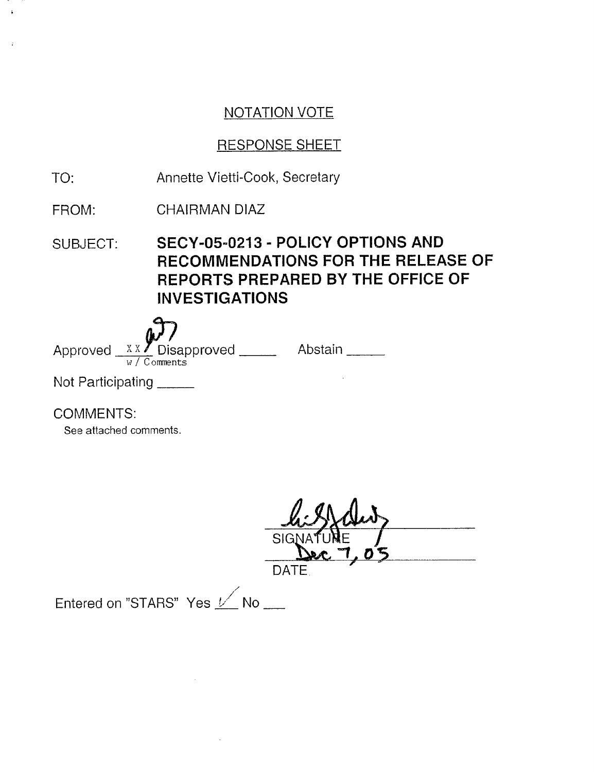## RESPONSE SHEET

- TO: Annette Vietti-Cook, Secretary
- FROM: CHAIRMAN DIAZ
- SUBJECT: SECY-05-0213 POLICY OPTIONS AND RECOMMENDATIONS FOR THE RELEASE OF REPORTS PREPARED BY THE OFFICE OF INVESTIGATIONS

Approved  $X X$  Disapproved \_\_\_\_\_\_ Abstair w / Comments Not Participating

COMMENTS:

See attached comments.

 $SIC$ 

DATE

Entered on "STARS" Yes  $1/$  No  $1/$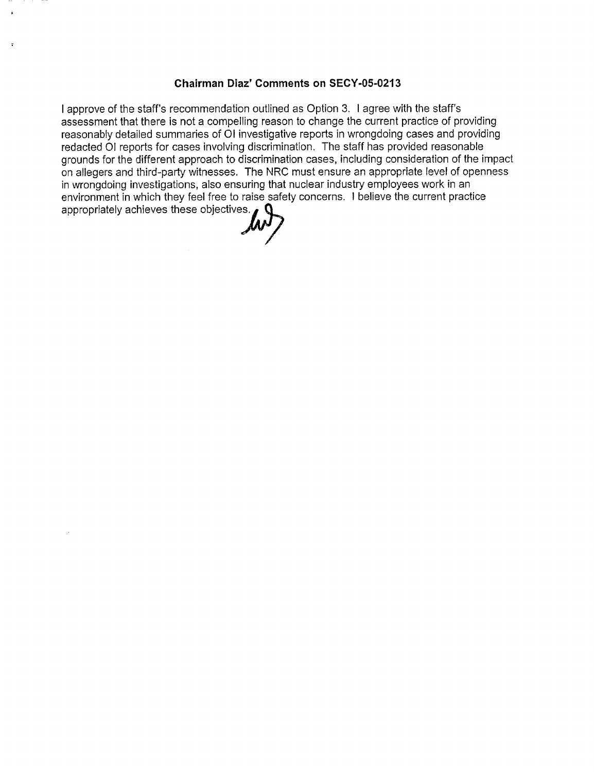#### **Chairman Diaz' Comments on SECY-05-0213**

I approve of the staff's recommendation outlined as Option 3. I agree with the staff's assessment that there is not a compelling reason to change the current practice of providing reasonably detailed summaries of 01 investigative reports in wrongdoing cases and providing redacted 01 reports for cases involving discrimination. The staff has provided reasonable grounds for the different approach to discrimination cases, including consideration of the impact on allegers and third-party witnesses. The NRC must ensure an appropriate level of openness in wrongdoing investigations, also ensuring that nuclear industry employees work in an environment in which they feel free to raise safety concerns. I believe the current practice appropriately achieves these objectives.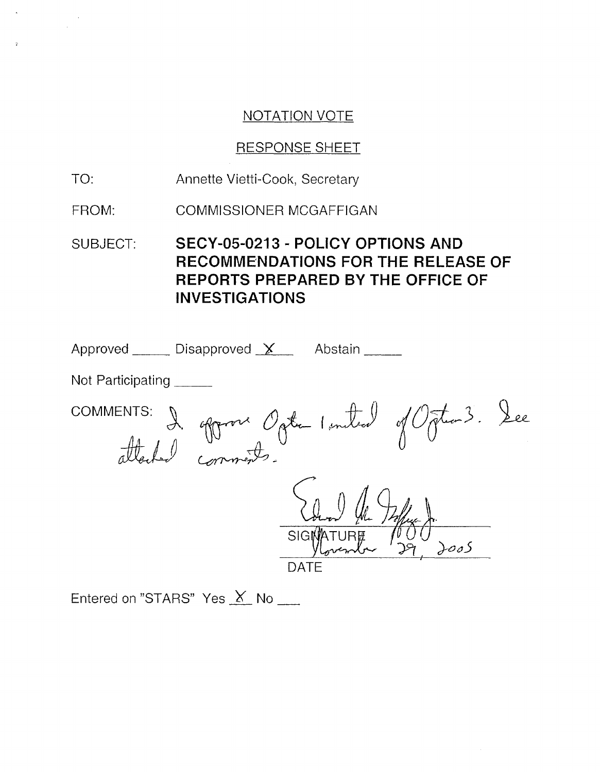### RESPONSE SHEET

TO: Annette Vietti-Cook, Secretary

FROM: COMMISSIONER MCGAFFIGAN

SUBJECT: SECY-05-0213 - POLICY OPTIONS AND RECOMMENDATIONS FOR THE RELEASE OF REPORTS PREPARED BY THE OFFICE OF INVESTIGATIONS

| Approved $\_\_\_\_\$ Disapproved $\chi\_\_\_\_\$<br>Abstain |
|-------------------------------------------------------------|
| Not Participating                                           |
| S. I oppove Ogte Instead of Ogten 3. See<br>COMMENTS:       |
| <b>SIGMATURE</b><br>DATE                                    |

Entered on "STARS" Yes X No \_\_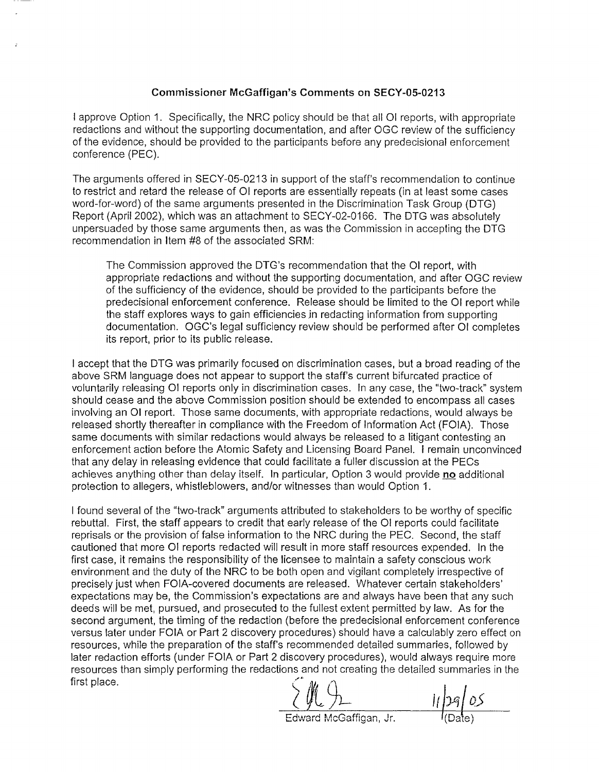#### Commissioner McGaffigan's Comments on SECY-05-0213

I approve Option 1. Specifically, the NRC policy should be that all 01 reports, with appropriate redactions and without the supporting documentation, and after OGC review of the sufficiency of the evidence, should be provided to the participants before any predecisional enforcement conference (PEC).

The arguments offered in SECY-05-0213 in support of the staff's recommendation to continue to restrict and retard the release of 0l reports are essentially repeats (in at least some cases word-for-word) of the same arguments presented in the Discrimination Task Group (DTG) Report (April 2002), which was an attachment to SECY-02-0166. The DTG was absolutely unpersuaded by those same arguments then, as was the Commission in accepting the DTG recommendation in Item #8 of the associated SRM:

The Commission approved the DTG's recommendation that the OI report, with appropriate redactions and without the supporting documentation, and after OGC review of the sufficiency of the evidence, should be provided to the participants before the predecisional enforcement conference. Release should be limited to the 01 report while the staff explores ways to gain efficiencies in redacting information from supporting documentation. OGC's legal sufficiency review should be performed after 01 completes its report, prior to its public release.

I accept that the DTG was primarily focused on discrimination cases, but a broad reading of the above SRM language does not appear to support the staff's current bifurcated practice of voluntarily releasing 01 reports only in discrimination cases. In any case, the "two-track" system should cease and the above Commission position should be extended to encompass all cases involving an 01 report. Those same documents, with appropriate redactions, would always be released shortly thereafter in compliance with the Freedom of Information Act (FOIA). Those same documents with similar redactions would always be released to a litigant contesting an enforcement action before the Atomic Safety and Licensing Board Panel. I remain unconvinced that any delay in releasing evidence that could facilitate a fuller discussion at the PECs achieves anything other than delay itself. In particular, Option 3 would provide **no** additional protection to allegers, whistleblowers, and/or witnesses than would Option 1.

I found several of the "two-track" arguments attributed to stakeholders to be worthy of specific rebuttal. First, the staff appears to credit that early release of the 01 reports could facilitate reprisals or the provision of false information to the NRC during the PEC. Second, the staff cautioned that more 01 reports redacted will result in more staff resources expended. In the first case, it remains the responsibility of the licensee to maintain a safety conscious work environment and the duty of the NRC to be both open and vigilant completely irrespective of precisely just when FOIA-covered documents are released. Whatever certain stakeholders' expectations may be, the Commission's expectations are and always have been that any such deeds will be met, pursued, and prosecuted to the fullest extent permitted by law. As for the second argument, the timing of the redaction (before the predecisional enforcement conference versus later under FOIA or Part 2 discovery procedures) should have a calculably zero effect on resources, while the preparation of the staff's recommended detailed summaries, followed by later redaction efforts (under FOIA or Part 2 discovery procedures), would always require more resources than simply performing the redactions and not creating the detailed summaries in the first place.

 $\frac{1}{2}$  ii/pg/05

 $\frac{1}{2}$ **H**  $\frac{1}{2}$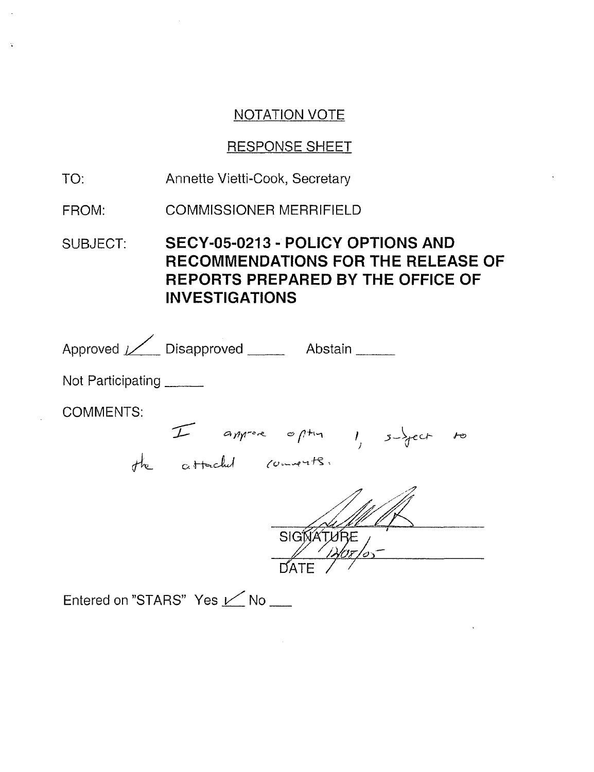# RESPONSE SHEET

- TO: Annette Vietti-Cook, Secretary
- FROM: COMMISSIONER MERRIFIELD

SUBJECT: SECY-05-0213 - POLICY OPTIONS AND RECOMMENDATIONS FOR THE RELEASE OF REPORTS PREPARED BY THE OFFICE OF INVESTIGATIONS

| Approved / Disapproved _______ Abstain ______                               |
|-----------------------------------------------------------------------------|
| Not Participating                                                           |
| <b>COMMENTS:</b><br>I approve often 1, subject to<br>the attached comments. |
|                                                                             |
| SIGNATU                                                                     |
|                                                                             |
| Entered on "STARS" Yes Mo                                                   |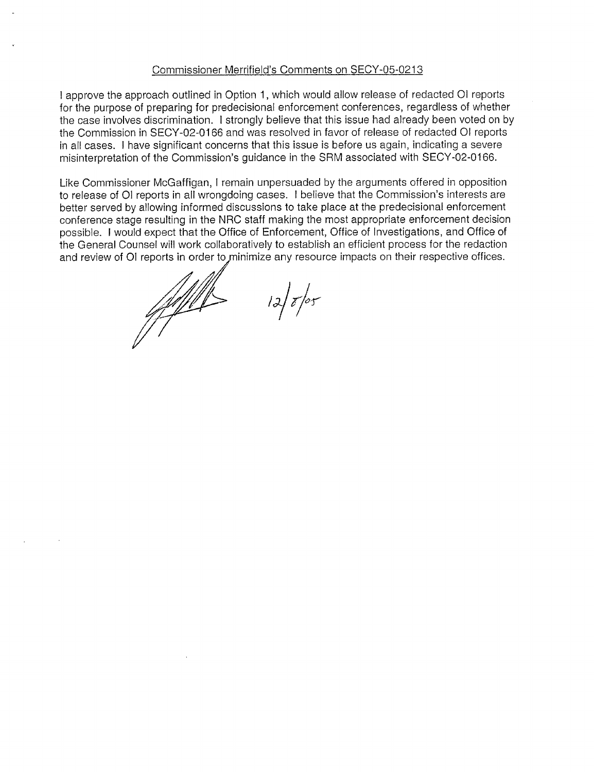#### Commissioner Merrifield's Comments on SECY-05-0213

I approve the approach outlined in Option 1, which would allow release of redacted 01 reports for the purpose of preparing for predecisional enforcement conferences, regardless of whether the case involves discrimination. I strongly believe that this issue had already been voted on by the Commission in SECY-02-0166 and was resolved in favor of release of redacted 01 reports in all cases. I have significant concerns that this issue is before us again, indicating a severe misinterpretation of the Commission's guidance in the SRM associated with SECY-02-0166.

Like Commissioner McGaffigan, I remain unpersuaded by the arguments offered in opposition to release of 01 reports in all wrongdoing cases. I believe that the Commission's interests are better served by allowing informed discussions to take place at the predecisional enforcement conference stage resulting in the NRC staff making the most appropriate enforcement decision possible. I would expect that the Office of Enforcement, Office of Investigations, and Office of the General Counsel will work collaboratively to establish an efficient process for the redaction and review of OI reports in order to minimize any resource impacts on their respective offices.

e/a/i

 $12\sqrt{z/\sigma}$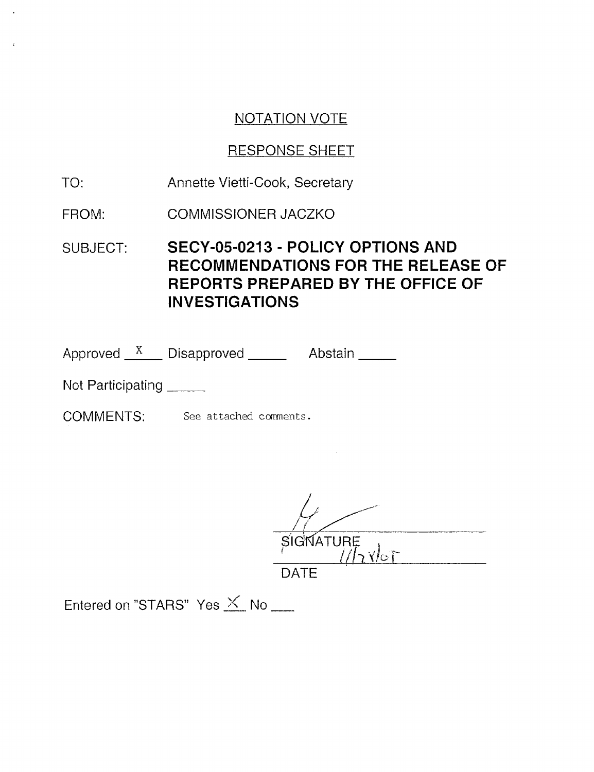# RESPONSE SHEET

- TO: Annette Vietti-Cook, Secretary
- FROM: COMMISSIONER JACZKO
- SUBJECT: SECY-05-0213 POLICY OPTIONS AND RECOMMENDATIONS FOR THE RELEASE OF REPORTS PREPARED BY THE OFFICE OF INVESTIGATIONS

Approved \_\_<sup>x</sup>\_\_\_\_ Disapproved \_\_\_\_\_\_\_\_\_\_ Abstair

Not Participating

COMMENTS: See attached comments.

 $\frac{81}{\sqrt{12}}$ 

DATE

Entered on "STARS" Yes  $\times$  No \_\_\_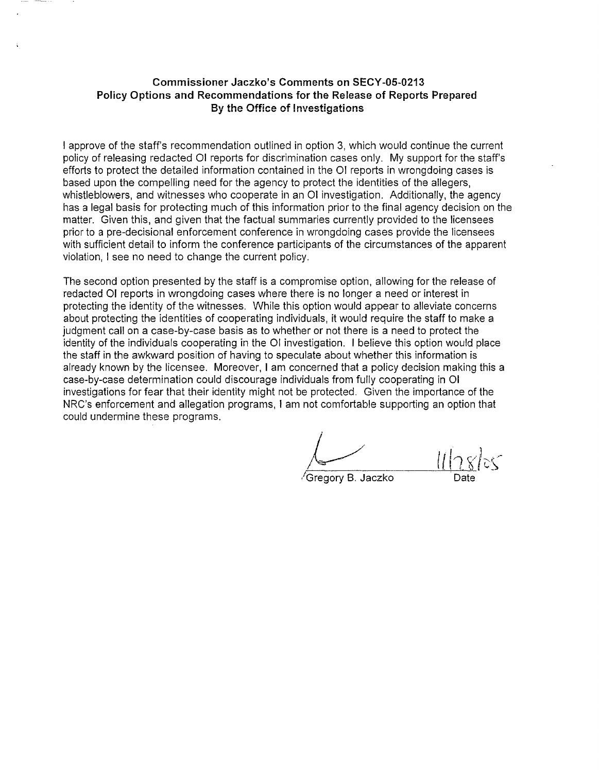### **Commissioner Jaczko's Comments on SECY-05-0213 Policy Options and Recommendations for the Release of Reports Prepared By the Office of Investigations**

I approve of the staff's recommendation outlined in option 3, which would continue the current policy of releasing redacted 01 reports for discrimination cases only. My support for the staff's efforts to protect the detailed information contained in the 01 reports in wrongdoing cases is based upon the compelling need for the agency to protect the identities of the allegers, whistleblowers, and witnesses who cooperate in an 01 investigation. Additionally, the agency has a legal basis for protecting much of this information prior to the final agency decision on the matter. Given this, and given that the factual summaries currently provided to the licensees prior to a pre-decisional enforcement conference in wrongdoing cases provide the licensees with sufficient detail to inform the conference participants of the circumstances of the apparent violation, I see no need to change the current policy.

The second option presented by the staff is a compromise option, allowing for the release of redacted 01 reports in wrongdoing cases where there is no longer a need or interest in protecting the identity of the witnesses. While this option would appear to alleviate concerns about protecting the identities of cooperating individuals, it would require the staff to make a judgment call on a case-by-case basis as to whether or not there is a need to protect the identity of the individuals cooperating in the 01 investigation. I believe this option would place the staff in the awkward position of having to speculate about whether this information is already known by the licensee. Moreover, I am concerned that a policy decision making this a case-by-case determination could discourage individuals from fully cooperating in 01 investigations for fear that their identity might not be protected. Given the importance of the NRC's enforcement and allegation programs, I am not comfortable supporting an option that could undermine these programs.

Gregory B. Jaczko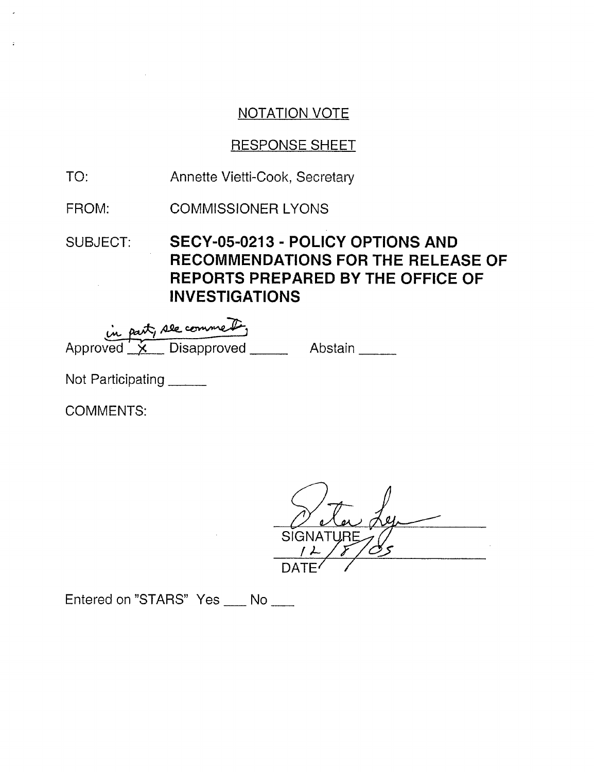# RESPONSE SHEET

- TO: Annette Vietti-Cook, Secretary
- FROM: COMMISSIONER LYONS
- SUBJECT: **SECY-05-0213 POLICY OPTIONS AND RECOMMENDATIONS FOR THE RELEASE OF REPORTS PREPARED BY THE OFFICE OF INVESTIGATIONS**

| in part, see comment. |  |                                        |  |         |  |
|-----------------------|--|----------------------------------------|--|---------|--|
|                       |  | Approved $\mathbf{\times}$ Disapproved |  | Abstain |  |

Not Participating

COMMENTS:

SIGNATUR DATE/ /

Entered on "STARS" Yes \_\_ No \_\_